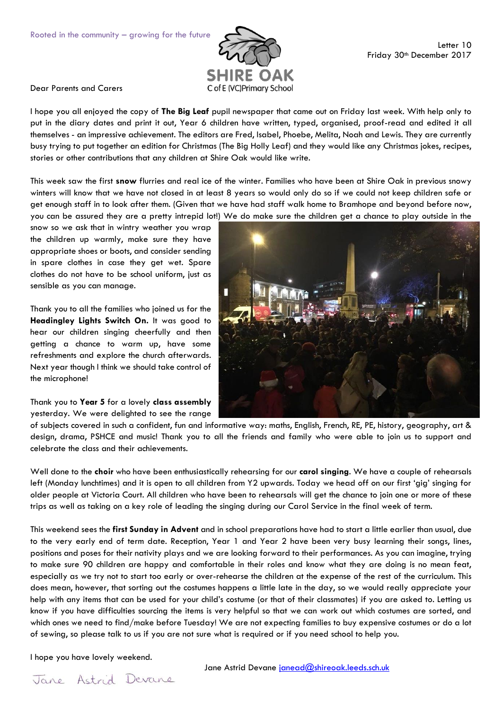

Dear Parents and Carers

I hope you all enjoyed the copy of **The Big Leaf** pupil newspaper that came out on Friday last week. With help only to put in the diary dates and print it out, Year 6 children have written, typed, organised, proof-read and edited it all themselves - an impressive achievement. The editors are Fred, Isabel, Phoebe, Melita, Noah and Lewis. They are currently busy trying to put together an edition for Christmas (The Big Holly Leaf) and they would like any Christmas jokes, recipes, stories or other contributions that any children at Shire Oak would like write.

This week saw the first **snow** flurries and real ice of the winter. Families who have been at Shire Oak in previous snowy winters will know that we have not closed in at least 8 years so would only do so if we could not keep children safe or get enough staff in to look after them. (Given that we have had staff walk home to Bramhope and beyond before now, you can be assured they are a pretty intrepid lot!) We do make sure the children get a chance to play outside in the

snow so we ask that in wintry weather you wrap the children up warmly, make sure they have appropriate shoes or boots, and consider sending in spare clothes in case they get wet. Spare clothes do not have to be school uniform, just as sensible as you can manage.

Thank you to all the families who joined us for the **Headingley Lights Switch On.** It was good to hear our children singing cheerfully and then getting a chance to warm up, have some refreshments and explore the church afterwards. Next year though I think we should take control of the microphone!

Thank you to **Year 5** for a lovely **class assembly** yesterday. We were delighted to see the range



of subjects covered in such a confident, fun and informative way: maths, English, French, RE, PE, history, geography, art & design, drama, PSHCE and music! Thank you to all the friends and family who were able to join us to support and celebrate the class and their achievements.

Well done to the **choir** who have been enthusiastically rehearsing for our **carol singing**. We have a couple of rehearsals left (Monday lunchtimes) and it is open to all children from Y2 upwards. Today we head off on our first 'gig' singing for older people at Victoria Court. All children who have been to rehearsals will get the chance to join one or more of these trips as well as taking on a key role of leading the singing during our Carol Service in the final week of term.

This weekend sees the **first Sunday in Advent** and in school preparations have had to start a little earlier than usual, due to the very early end of term date. Reception, Year 1 and Year 2 have been very busy learning their songs, lines, positions and poses for their nativity plays and we are looking forward to their performances. As you can imagine, trying to make sure 90 children are happy and comfortable in their roles and know what they are doing is no mean feat, especially as we try not to start too early or over-rehearse the children at the expense of the rest of the curriculum. This does mean, however, that sorting out the costumes happens a little late in the day, so we would really appreciate your help with any items that can be used for your child's costume (or that of their classmates) if you are asked to. Letting us know if you have difficulties sourcing the items is very helpful so that we can work out which costumes are sorted, and which ones we need to find/make before Tuesday! We are not expecting families to buy expensive costumes or do a lot of sewing, so please talk to us if you are not sure what is required or if you need school to help you.

I hope you have lovely weekend.

Jane Astrid Devane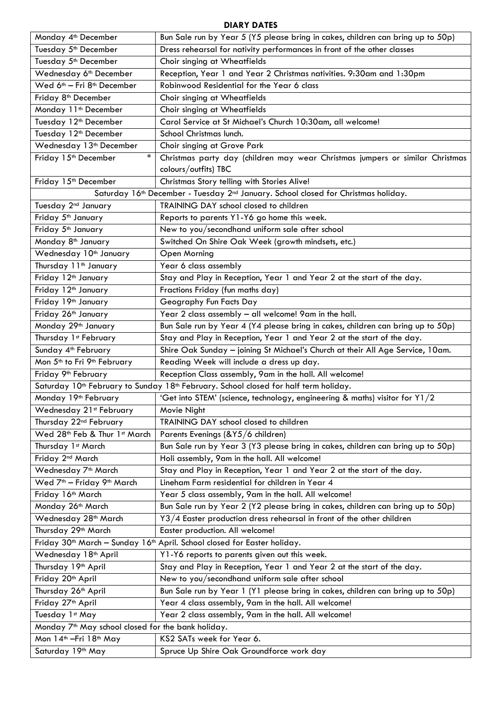## **DIARY DATES**

| Monday 4 <sup>th</sup> December                                                                              | Bun Sale run by Year 5 (Y5 please bring in cakes, children can bring up to 50p) |
|--------------------------------------------------------------------------------------------------------------|---------------------------------------------------------------------------------|
| Tuesday 5 <sup>th</sup> December                                                                             | Dress rehearsal for nativity performances in front of the other classes         |
| Tuesday 5 <sup>th</sup> December                                                                             | Choir singing at Wheatfields                                                    |
| Wednesday 6 <sup>th</sup> December                                                                           | Reception, Year 1 and Year 2 Christmas nativities. 9:30am and 1:30pm            |
| Wed 6 <sup>th</sup> - Fri 8 <sup>th</sup> December                                                           | Robinwood Residential for the Year 6 class                                      |
| Friday 8 <sup>th</sup> December                                                                              | Choir singing at Wheatfields                                                    |
| Monday 11 <sup>th</sup> December                                                                             | Choir singing at Wheatfields                                                    |
| Tuesday 12 <sup>th</sup> December                                                                            | Carol Service at St Michael's Church 10:30am, all welcome!                      |
| Tuesday 12 <sup>th</sup> December                                                                            | School Christmas lunch.                                                         |
| Wednesday 13 <sup>th</sup> December                                                                          | Choir singing at Grove Park                                                     |
| $\ast$<br>Friday 15 <sup>th</sup> December                                                                   | Christmas party day (children may wear Christmas jumpers or similar Christmas   |
|                                                                                                              | colours/outfits) TBC                                                            |
| Friday 15th December                                                                                         | Christmas Story telling with Stories Alive!                                     |
| Saturday 16th December - Tuesday 2nd January. School closed for Christmas holiday.                           |                                                                                 |
| Tuesday 2 <sup>nd</sup> January                                                                              | TRAINING DAY school closed to children                                          |
| Friday 5 <sup>th</sup> January                                                                               | Reports to parents Y1-Y6 go home this week.                                     |
| Friday 5 <sup>th</sup> January                                                                               | New to you/secondhand uniform sale after school                                 |
| Monday 8 <sup>th</sup> January                                                                               | Switched On Shire Oak Week (growth mindsets, etc.)                              |
| Wednesday 10 <sup>th</sup> January                                                                           | Open Morning                                                                    |
| Thursday 11 <sup>th</sup> January                                                                            | Year 6 class assembly                                                           |
| Friday 12 <sup>th</sup> January                                                                              | Stay and Play in Reception, Year 1 and Year 2 at the start of the day.          |
| Friday 12 <sup>th</sup> January                                                                              | Fractions Friday (fun maths day)                                                |
| Friday 19th January                                                                                          | Geography Fun Facts Day                                                         |
| Friday 26th January                                                                                          | Year 2 class assembly - all welcome! 9am in the hall.                           |
| Monday 29th January                                                                                          | Bun Sale run by Year 4 (Y4 please bring in cakes, children can bring up to 50p) |
| Thursday 1st February                                                                                        | Stay and Play in Reception, Year 1 and Year 2 at the start of the day.          |
| Sunday 4 <sup>th</sup> February                                                                              | Shire Oak Sunday - joining St Michael's Church at their All Age Service, 10am.  |
| Mon 5 <sup>th</sup> to Fri 9 <sup>th</sup> February                                                          | Reading Week will include a dress up day.                                       |
| Friday 9 <sup>th</sup> February                                                                              | Reception Class assembly, 9am in the hall. All welcome!                         |
| Saturday 10 <sup>th</sup> February to Sunday 18 <sup>th</sup> February. School closed for half term holiday. |                                                                                 |
| Monday 19th February                                                                                         | 'Get into STEM' (science, technology, engineering & maths) visitor for Y1/2     |
| Wednesday 21st February                                                                                      | Movie Night                                                                     |
| Thursday 22 <sup>nd</sup> February                                                                           | TRAINING DAY school closed to children                                          |
| Wed 28th Feb & Thur 1st March                                                                                | Parents Evenings (&Y5/6 children)                                               |
| Thursday 1st March                                                                                           | Bun Sale run by Year 3 (Y3 please bring in cakes, children can bring up to 50p) |
| Friday 2 <sup>nd</sup> March                                                                                 | Holi assembly, 9am in the hall. All welcome!                                    |
| Wednesday 7 <sup>th</sup> March                                                                              | Stay and Play in Reception, Year 1 and Year 2 at the start of the day.          |
| Wed 7 <sup>th</sup> - Friday 9 <sup>th</sup> March                                                           | Lineham Farm residential for children in Year 4                                 |
| Friday 16th March                                                                                            | Year 5 class assembly, 9am in the hall. All welcome!                            |
| Monday 26 <sup>th</sup> March                                                                                | Bun Sale run by Year 2 (Y2 please bring in cakes, children can bring up to 50p) |
| Wednesday 28 <sup>th</sup> March                                                                             | Y3/4 Easter production dress rehearsal in front of the other children           |
| Thursday 29 <sup>th</sup> March                                                                              | Easter production. All welcome!                                                 |
| Friday 30 <sup>th</sup> March - Sunday 16 <sup>th</sup> April. School closed for Easter holiday.             |                                                                                 |
| Wednesday 18 <sup>th</sup> April                                                                             | Y1-Y6 reports to parents given out this week.                                   |
| Thursday 19 <sup>th</sup> April                                                                              | Stay and Play in Reception, Year 1 and Year 2 at the start of the day.          |
| Friday 20th April                                                                                            | New to you/secondhand uniform sale after school                                 |
| Thursday 26 <sup>th</sup> April                                                                              | Bun Sale run by Year 1 (Y1 please bring in cakes, children can bring up to 50p) |
| Friday 27 <sup>th</sup> April                                                                                | Year 4 class assembly, 9am in the hall. All welcome!                            |
| Tuesday 1st May                                                                                              | Year 2 class assembly, 9am in the hall. All welcome!                            |
| Monday 7 <sup>th</sup> May school closed for the bank holiday.                                               |                                                                                 |
| Mon 14 <sup>th</sup> - Fri 18 <sup>th</sup> May                                                              | KS2 SATs week for Year 6.                                                       |
| Saturday 19th May                                                                                            | Spruce Up Shire Oak Groundforce work day                                        |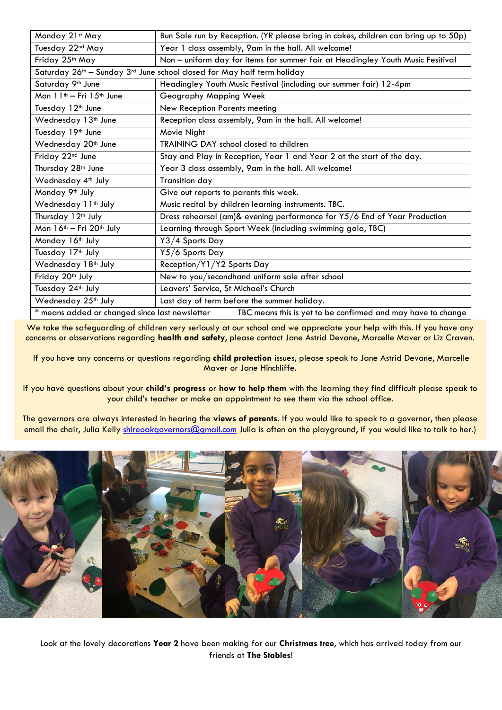| Monday 21st May                                                                                                | Bun Sale run by Reception. (YR please bring in cakes, children can bring up to 50p) |
|----------------------------------------------------------------------------------------------------------------|-------------------------------------------------------------------------------------|
| Tuesday 22nd May                                                                                               | Year 1 class assembly, 9am in the hall. All welcome!                                |
| Friday 25th May                                                                                                | Non - uniform day for items for summer fair at Headingley Youth Music Fesitival     |
| Saturday 26th - Sunday 3rd June school closed for May half term holiday                                        |                                                                                     |
| Saturday 9 <sup>th</sup> June                                                                                  | Headingley Youth Music Festival (including our summer fair) 12-4pm                  |
| Mon 11 <sup>th</sup> - Fri 15 <sup>th</sup> June                                                               | Geography Mapping Week                                                              |
| Tuesday 12 <sup>th</sup> June                                                                                  | New Reception Parents meeting                                                       |
| Wednesday 13 <sup>th</sup> June                                                                                | Reception class assembly, 9am in the hall. All welcome!                             |
| Tuesday 19th June                                                                                              | Movie Night                                                                         |
| Wednesday 20 <sup>th</sup> June                                                                                | <b>TRAINING DAY school closed to children</b>                                       |
| Friday 22nd June                                                                                               | Stay and Play in Reception, Year 1 and Year 2 at the start of the day.              |
| Thursday 28 <sup>th</sup> June                                                                                 | Year 3 class assembly, 9am in the hall. All welcome!                                |
| Wednesday 4 <sup>th</sup> July                                                                                 | <b>Transition day</b>                                                               |
| Monday 9th July                                                                                                | Give out reports to parents this week.                                              |
| Wednesday 11 <sup>th</sup> July                                                                                | Music recital by children learning instruments. TBC.                                |
| Thursday 12 <sup>th</sup> July                                                                                 | Dress rehearsal (am)& evening performance for Y5/6 End of Year Production           |
| Mon 16 <sup>th</sup> - Fri 20 <sup>th</sup> July                                                               | Learning through Sport Week (including swimming gala, TBC)                          |
| Monday 16 <sup>th</sup> July                                                                                   | Y3/4 Sports Day                                                                     |
| Tuesday 17 <sup>th</sup> July                                                                                  | Y5/6 Sports Day                                                                     |
| Wednesday 18 <sup>th</sup> July                                                                                | Reception/Y1/Y2 Sports Day                                                          |
| Friday 20th July                                                                                               | New to you/secondhand uniform sale after school                                     |
| Tuesday 24 <sup>th</sup> July                                                                                  | Leavers' Service, St Michael's Church                                               |
| Wednesday 25 <sup>th</sup> July                                                                                | Last day of term before the summer holiday.                                         |
| * means added or changed since last newsletter<br>TBC means this is yet to be confirmed and may have to change |                                                                                     |

We take the safeguarding of children very seriously at our school and we appreciate your help with this. If you have any concerns or observations regarding **health and safety**, please contact Jane Astrid Devane, Marcelle Maver or Liz Craven.

If you have any concerns or questions regarding **child protection** issues, please speak to Jane Astrid Devane, Marcelle Maver or Jane Hinchliffe.

If you have questions about your **child's progress** or **how to help them** with the learning they find difficult please speak to your child's teacher or make an appointment to see them via the school office.

The governors are always interested in hearing the **views of parents**. If you would like to speak to a governor, then please email the chair, Julia Kelly [shireoakgovernors@gmail.com](mailto:shireoakgovernors@gmail.com) Julia is often on the playground, if you would like to talk to her.)



Look at the lovely decorations **Year 2** have been making for our **Christmas tree**, which has arrived today from our friends at **The Stables**!